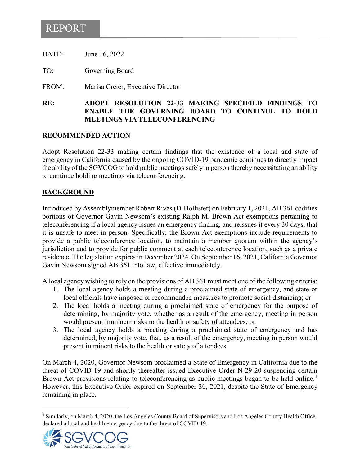# REPORT

DATE: June 16, 2022

TO: Governing Board

FROM: Marisa Creter, Executive Director

### **RE: ADOPT RESOLUTION 22-33 MAKING SPECIFIED FINDINGS TO ENABLE THE GOVERNING BOARD TO CONTINUE TO HOLD MEETINGS VIA TELECONFERENCING**

#### **RECOMMENDED ACTION**

Adopt Resolution 22-33 making certain findings that the existence of a local and state of emergency in California caused by the ongoing COVID-19 pandemic continues to directly impact the ability of the SGVCOG to hold public meetings safely in person thereby necessitating an ability to continue holding meetings via teleconferencing.

#### **BACKGROUND**

Introduced by Assemblymember Robert Rivas (D-Hollister) on February 1, 2021, AB 361 codifies portions of Governor Gavin Newsom's existing Ralph M. Brown Act exemptions pertaining to teleconferencing if a local agency issues an emergency finding, and reissues it every 30 days, that it is unsafe to meet in person. Specifically, the Brown Act exemptions include requirements to provide a public teleconference location, to maintain a member quorum within the agency's jurisdiction and to provide for public comment at each teleconference location, such as a private residence. The legislation expires in December 2024. On September 16, 2021, California Governor Gavin Newsom signed AB 361 into law, effective immediately.

A local agency wishing to rely on the provisions of AB 361 must meet one of the following criteria:

- 1. The local agency holds a meeting during a proclaimed state of emergency, and state or local officials have imposed or recommended measures to promote social distancing; or
- 2. The local holds a meeting during a proclaimed state of emergency for the purpose of determining, by majority vote, whether as a result of the emergency, meeting in person would present imminent risks to the health or safety of attendees; or
- 3. The local agency holds a meeting during a proclaimed state of emergency and has determined, by majority vote, that, as a result of the emergency, meeting in person would present imminent risks to the health or safety of attendees.

On March 4, 2020, Governor Newsom proclaimed a State of Emergency in California due to the threat of COVID-19 and shortly thereafter issued Executive Order N-29-20 suspending certain Brown Act provisions relating to teleconferencing as public meetings began to be held online.<sup>[1](#page-0-0)</sup> However, this Executive Order expired on September 30, 2021, despite the State of Emergency remaining in place.

<span id="page-0-0"></span><sup>&</sup>lt;sup>1</sup> Similarly, on March 4, 2020, the Los Angeles County Board of Supervisors and Los Angeles County Health Officer declared a local and health emergency due to the threat of COVID-19.